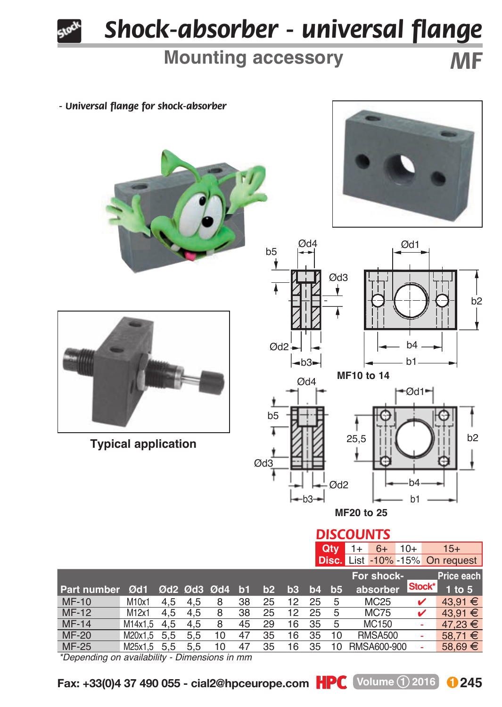

## *Shock-absorber - universal flange*

## **Mounting accessory** *MF*